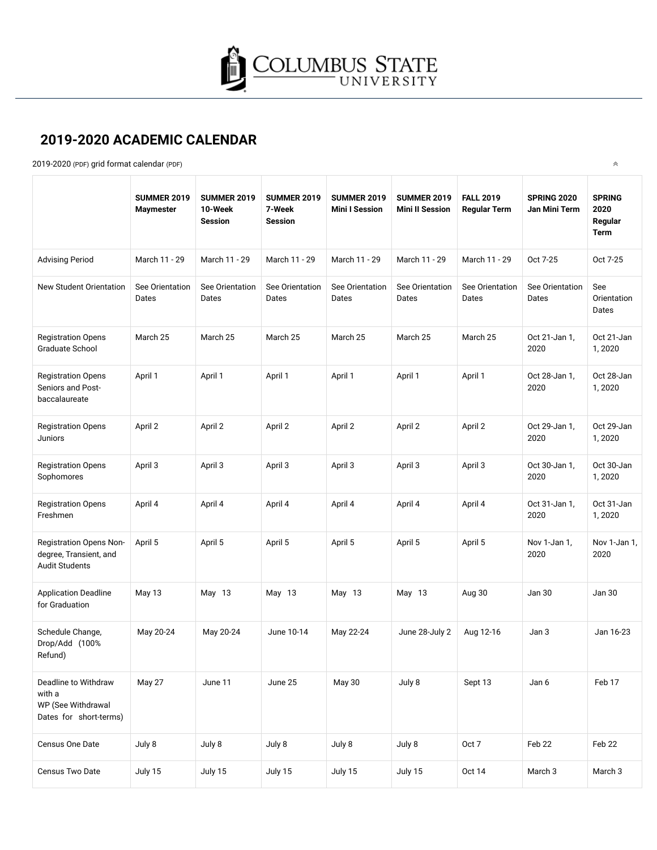

 $\hat{\wedge}$ 

## **2019-2020 ACADEMIC CALENDAR**

2019-2020 (PDF) [grid format calendar](https://academics.columbusstate.edu/docs/AcademicCalendar_2019-2020_FINAL.pdf) (PDF)

|                                                                                | <b>SUMMER 2019</b><br><b>Maymester</b> | <b>SUMMER 2019</b><br>10-Week<br><b>Session</b> | <b>SUMMER 2019</b><br>7-Week<br><b>Session</b> | <b>SUMMER 2019</b><br><b>Mini I Session</b> | <b>SUMMER 2019</b><br><b>Mini II Session</b> | <b>FALL 2019</b><br><b>Regular Term</b> | <b>SPRING 2020</b><br>Jan Mini Term | <b>SPRING</b><br>2020<br>Regular<br>Term |
|--------------------------------------------------------------------------------|----------------------------------------|-------------------------------------------------|------------------------------------------------|---------------------------------------------|----------------------------------------------|-----------------------------------------|-------------------------------------|------------------------------------------|
| <b>Advising Period</b>                                                         | March 11 - 29                          | March 11 - 29                                   | March 11 - 29                                  | March 11 - 29                               | March 11 - 29                                | March 11 - 29                           | Oct 7-25                            | Oct 7-25                                 |
| New Student Orientation                                                        | See Orientation<br>Dates               | See Orientation<br>Dates                        | See Orientation<br>Dates                       | See Orientation<br>Dates                    | See Orientation<br>Dates                     | See Orientation<br>Dates                | See Orientation<br>Dates            | See<br>Orientation<br>Dates              |
| <b>Registration Opens</b><br>Graduate School                                   | March 25                               | March 25                                        | March 25                                       | March 25                                    | March 25                                     | March 25                                | Oct 21-Jan 1,<br>2020               | Oct 21-Jan<br>1,2020                     |
| <b>Registration Opens</b><br>Seniors and Post-<br>baccalaureate                | April 1                                | April 1                                         | April 1                                        | April 1                                     | April 1                                      | April 1                                 | Oct 28-Jan 1,<br>2020               | Oct 28-Jan<br>1,2020                     |
| <b>Registration Opens</b><br>Juniors                                           | April 2                                | April 2                                         | April 2                                        | April 2                                     | April 2                                      | April 2                                 | Oct 29-Jan 1,<br>2020               | Oct 29-Jan<br>1,2020                     |
| <b>Registration Opens</b><br>Sophomores                                        | April 3                                | April 3                                         | April 3                                        | April 3                                     | April 3                                      | April 3                                 | Oct 30-Jan 1,<br>2020               | Oct 30-Jan<br>1,2020                     |
| <b>Registration Opens</b><br>Freshmen                                          | April 4                                | April 4                                         | April 4                                        | April 4                                     | April 4                                      | April 4                                 | Oct 31-Jan 1,<br>2020               | Oct 31-Jan<br>1,2020                     |
| Registration Opens Non-<br>degree, Transient, and<br><b>Audit Students</b>     | April 5                                | April 5                                         | April 5                                        | April 5                                     | April 5                                      | April 5                                 | Nov 1-Jan 1,<br>2020                | Nov 1-Jan 1,<br>2020                     |
| <b>Application Deadline</b><br>for Graduation                                  | May 13                                 | May 13                                          | May 13                                         | May 13                                      | May 13                                       | Aug 30                                  | Jan 30                              | Jan 30                                   |
| Schedule Change,<br>Drop/Add (100%<br>Refund)                                  | May 20-24                              | May 20-24                                       | June 10-14                                     | May 22-24                                   | June 28-July 2                               | Aug 12-16                               | Jan 3                               | Jan 16-23                                |
| Deadline to Withdraw<br>with a<br>WP (See Withdrawal<br>Dates for short-terms) | May 27                                 | June 11                                         | June 25                                        | May 30                                      | July 8                                       | Sept 13                                 | Jan 6                               | Feb 17                                   |
| Census One Date                                                                | July 8                                 | July 8                                          | July 8                                         | July 8                                      | July 8                                       | Oct 7                                   | Feb 22                              | Feb 22                                   |
| Census Two Date                                                                | July 15                                | July 15                                         | July 15                                        | July 15                                     | July 15                                      | <b>Oct 14</b>                           | March <sub>3</sub>                  | March 3                                  |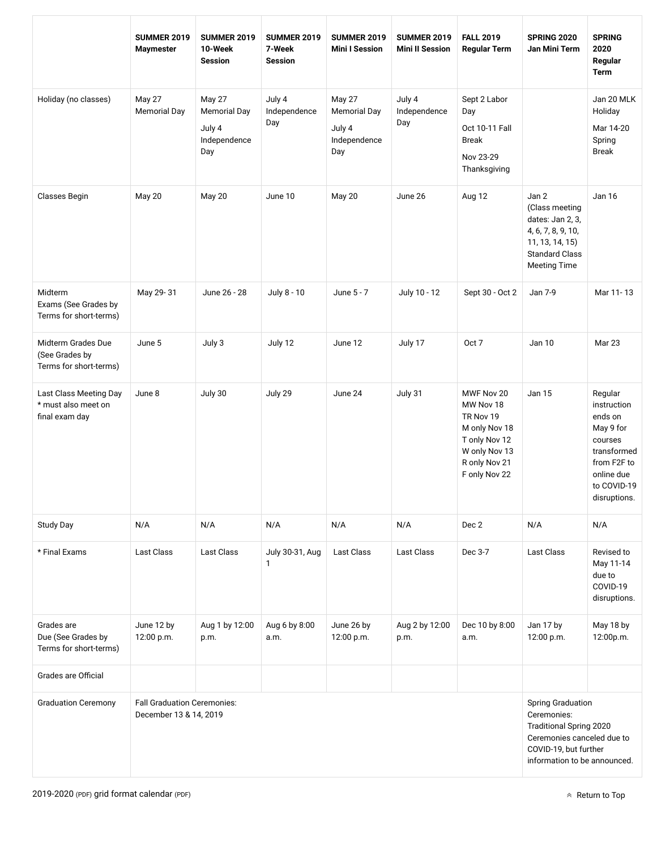|                                                                 | <b>SUMMER 2019</b><br><b>Maymester</b>                       | <b>SUMMER 2019</b><br>10-Week<br><b>Session</b>                       | <b>SUMMER 2019</b><br>7-Week<br><b>Session</b> | <b>SUMMER 2019</b><br><b>Mini I Session</b>                           | <b>SUMMER 2019</b><br><b>Mini II Session</b> | <b>FALL 2019</b><br><b>Regular Term</b>                                                                                   | <b>SPRING 2020</b><br>Jan Mini Term                                                                                                                              | <b>SPRING</b><br>2020<br>Regular<br><b>Term</b>                                                                                      |  |
|-----------------------------------------------------------------|--------------------------------------------------------------|-----------------------------------------------------------------------|------------------------------------------------|-----------------------------------------------------------------------|----------------------------------------------|---------------------------------------------------------------------------------------------------------------------------|------------------------------------------------------------------------------------------------------------------------------------------------------------------|--------------------------------------------------------------------------------------------------------------------------------------|--|
| Holiday (no classes)                                            | May 27<br><b>Memorial Day</b>                                | <b>May 27</b><br><b>Memorial Day</b><br>July 4<br>Independence<br>Day | July 4<br>Independence<br>Day                  | <b>May 27</b><br><b>Memorial Day</b><br>July 4<br>Independence<br>Day | July 4<br>Independence<br>Day                | Sept 2 Labor<br>Day<br>Oct 10-11 Fall<br><b>Break</b><br>Nov 23-29<br>Thanksgiving                                        |                                                                                                                                                                  | Jan 20 MLK<br>Holiday<br>Mar 14-20<br>Spring<br><b>Break</b>                                                                         |  |
| Classes Begin                                                   | <b>May 20</b>                                                | May 20                                                                | June 10                                        | May 20                                                                | June 26                                      | Aug 12                                                                                                                    | Jan 2<br>(Class meeting<br>dates: Jan 2, 3,<br>4, 6, 7, 8, 9, 10,<br>11, 13, 14, 15)<br><b>Standard Class</b><br><b>Meeting Time</b>                             | <b>Jan 16</b>                                                                                                                        |  |
| Midterm<br>Exams (See Grades by<br>Terms for short-terms)       | May 29-31                                                    | June 26 - 28                                                          | July 8 - 10                                    | June 5 - 7                                                            | July 10 - 12                                 | Sept 30 - Oct 2                                                                                                           | Jan 7-9                                                                                                                                                          | Mar 11-13                                                                                                                            |  |
| Midterm Grades Due<br>(See Grades by<br>Terms for short-terms)  | June 5                                                       | July 3                                                                | July 12                                        | June 12                                                               | July 17                                      | Oct 7                                                                                                                     | Jan 10                                                                                                                                                           | Mar 23                                                                                                                               |  |
| Last Class Meeting Day<br>* must also meet on<br>final exam day | June 8                                                       | July 30                                                               | July 29                                        | June 24                                                               | July 31                                      | MWF Nov 20<br>MW Nov 18<br>TR Nov 19<br>M only Nov 18<br>T only Nov 12<br>W only Nov 13<br>R only Nov 21<br>F only Nov 22 | Jan 15                                                                                                                                                           | Regular<br>instruction<br>ends on<br>May 9 for<br>courses<br>transformed<br>from F2F to<br>online due<br>to COVID-19<br>disruptions. |  |
| Study Day                                                       | N/A                                                          | N/A                                                                   | N/A                                            | N/A                                                                   | N/A                                          | Dec 2                                                                                                                     | N/A                                                                                                                                                              | N/A                                                                                                                                  |  |
| * Final Exams                                                   | <b>Last Class</b>                                            | <b>Last Class</b>                                                     | July 30-31, Aug<br>$\mathbf{1}$                | <b>Last Class</b>                                                     | Last Class                                   | Dec 3-7                                                                                                                   | Last Class                                                                                                                                                       | Revised to<br>May 11-14<br>due to<br>COVID-19<br>disruptions.                                                                        |  |
| Grades are<br>Due (See Grades by<br>Terms for short-terms)      | June 12 by<br>12:00 p.m.                                     | Aug 1 by 12:00<br>p.m.                                                | Aug 6 by 8:00<br>a.m.                          | June 26 by<br>12:00 p.m.                                              | Aug 2 by 12:00<br>p.m.                       | Dec 10 by 8:00<br>a.m.                                                                                                    | Jan 17 by<br>12:00 p.m.                                                                                                                                          | May 18 by<br>12:00p.m.                                                                                                               |  |
| Grades are Official                                             |                                                              |                                                                       |                                                |                                                                       |                                              |                                                                                                                           |                                                                                                                                                                  |                                                                                                                                      |  |
| <b>Graduation Ceremony</b>                                      | <b>Fall Graduation Ceremonies:</b><br>December 13 & 14, 2019 |                                                                       |                                                |                                                                       |                                              |                                                                                                                           | <b>Spring Graduation</b><br>Ceremonies:<br><b>Traditional Spring 2020</b><br>Ceremonies canceled due to<br>COVID-19, but further<br>information to be announced. |                                                                                                                                      |  |